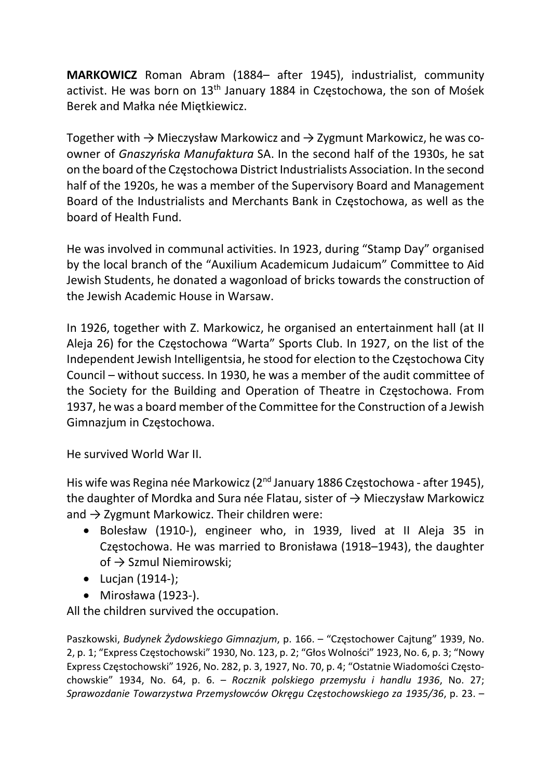MARKOWICZ Roman Abram (1884– after 1945), industrialist, community activist. He was born on 13<sup>th</sup> January 1884 in Częstochowa, the son of Mośek Berek and Małka née Miętkiewicz.

Together with  $\rightarrow$  Mieczysław Markowicz and  $\rightarrow$  Zygmunt Markowicz, he was coowner of Gnaszyńska Manufaktura SA. In the second half of the 1930s, he sat on the board of the Częstochowa District Industrialists Association. In the second half of the 1920s, he was a member of the Supervisory Board and Management Board of the Industrialists and Merchants Bank in Częstochowa, as well as the board of Health Fund.

He was involved in communal activities. In 1923, during "Stamp Day" organised by the local branch of the "Auxilium Academicum Judaicum" Committee to Aid Jewish Students, he donated a wagonload of bricks towards the construction of the Jewish Academic House in Warsaw.

In 1926, together with Z. Markowicz, he organised an entertainment hall (at II Aleja 26) for the Częstochowa "Warta" Sports Club. In 1927, on the list of the Independent Jewish Intelligentsia, he stood for election to the Częstochowa City Council – without success. In 1930, he was a member of the audit committee of the Society for the Building and Operation of Theatre in Częstochowa. From 1937, he was a board member of the Committee for the Construction of a Jewish Gimnazjum in Częstochowa.

He survived World War II.

His wife was Regina née Markowicz (2<sup>nd</sup> January 1886 Częstochowa - after 1945), the daughter of Mordka and Sura née Flatau, sister of  $\rightarrow$  Mieczysław Markowicz and  $\rightarrow$  Zygmunt Markowicz. Their children were:

- Bolesław (1910-), engineer who, in 1939, lived at II Aleja 35 in Częstochowa. He was married to Bronisława (1918–1943), the daughter of → Szmul Niemirowski;
- $\bullet$  Lucjan (1914-);
- Mirosława (1923-).

All the children survived the occupation.

Paszkowski, Budynek Żydowskiego Gimnazjum, p. 166. – "Częstochower Cajtung" 1939, No. 2, p. 1; "Express Częstochowski" 1930, No. 123, p. 2; "Głos Wolności" 1923, No. 6, p. 3; "Nowy Express Częstochowski" 1926, No. 282, p. 3, 1927, No. 70, p. 4; "Ostatnie Wiadomości Częstochowskie" 1934, No. 64, p. 6. – Rocznik polskiego przemysłu i handlu 1936, No. 27; Sprawozdanie Towarzystwa Przemysłowców Okręgu Częstochowskiego za 1935/36, p. 23. –